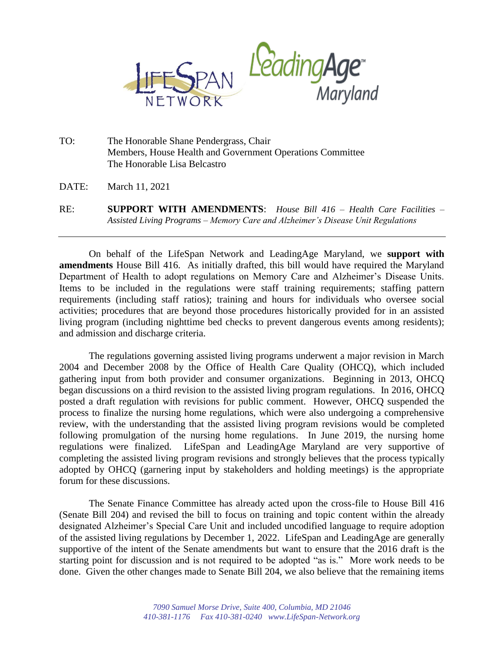

TO: The Honorable Shane Pendergrass, Chair Members, House Health and Government Operations Committee The Honorable Lisa Belcastro

DATE: March 11, 2021

RE: **SUPPORT WITH AMENDMENTS**: *House Bill 416 – Health Care Facilities – Assisted Living Programs – Memory Care and Alzheimer's Disease Unit Regulations*

On behalf of the LifeSpan Network and LeadingAge Maryland, we **support with amendments** House Bill 416. As initially drafted, this bill would have required the Maryland Department of Health to adopt regulations on Memory Care and Alzheimer's Disease Units. Items to be included in the regulations were staff training requirements; staffing pattern requirements (including staff ratios); training and hours for individuals who oversee social activities; procedures that are beyond those procedures historically provided for in an assisted living program (including nighttime bed checks to prevent dangerous events among residents); and admission and discharge criteria.

The regulations governing assisted living programs underwent a major revision in March 2004 and December 2008 by the Office of Health Care Quality (OHCQ), which included gathering input from both provider and consumer organizations. Beginning in 2013, OHCQ began discussions on a third revision to the assisted living program regulations. In 2016, OHCQ posted a draft regulation with revisions for public comment. However, OHCQ suspended the process to finalize the nursing home regulations, which were also undergoing a comprehensive review, with the understanding that the assisted living program revisions would be completed following promulgation of the nursing home regulations. In June 2019, the nursing home regulations were finalized. LifeSpan and LeadingAge Maryland are very supportive of completing the assisted living program revisions and strongly believes that the process typically adopted by OHCQ (garnering input by stakeholders and holding meetings) is the appropriate forum for these discussions.

The Senate Finance Committee has already acted upon the cross-file to House Bill 416 (Senate Bill 204) and revised the bill to focus on training and topic content within the already designated Alzheimer's Special Care Unit and included uncodified language to require adoption of the assisted living regulations by December 1, 2022. LifeSpan and LeadingAge are generally supportive of the intent of the Senate amendments but want to ensure that the 2016 draft is the starting point for discussion and is not required to be adopted "as is." More work needs to be done. Given the other changes made to Senate Bill 204, we also believe that the remaining items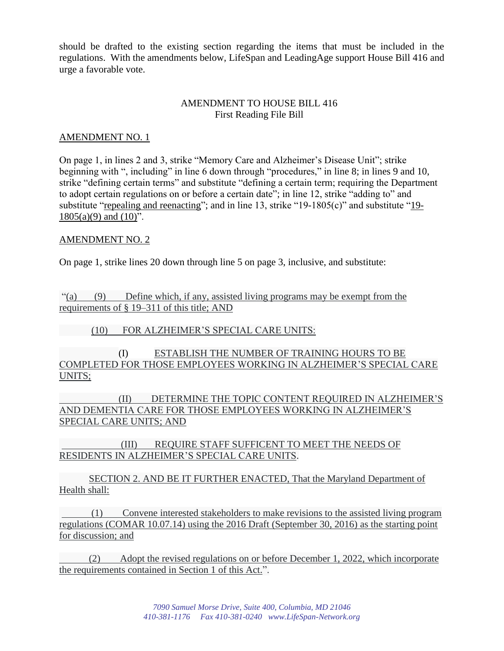should be drafted to the existing section regarding the items that must be included in the regulations. With the amendments below, LifeSpan and LeadingAge support House Bill 416 and urge a favorable vote.

## AMENDMENT TO HOUSE BILL 416 First Reading File Bill

## AMENDMENT NO. 1

On page 1, in lines 2 and 3, strike "Memory Care and Alzheimer's Disease Unit"; strike beginning with ", including" in line 6 down through "procedures," in line 8; in lines 9 and 10, strike "defining certain terms" and substitute "defining a certain term; requiring the Department to adopt certain regulations on or before a certain date"; in line 12, strike "adding to" and substitute "repealing and reenacting"; and in line 13, strike "19-1805(c)" and substitute "19-  $1805(a)(9)$  and  $(10)$ ".

## AMENDMENT NO. 2

On page 1, strike lines 20 down through line 5 on page 3, inclusive, and substitute:

"(a) (9) Define which, if any, assisted living programs may be exempt from the requirements of § 19–311 of this title; AND

(10) FOR ALZHEIMER'S SPECIAL CARE UNITS:

(I) ESTABLISH THE NUMBER OF TRAINING HOURS TO BE COMPLETED FOR THOSE EMPLOYEES WORKING IN ALZHEIMER'S SPECIAL CARE UNITS;

(II) DETERMINE THE TOPIC CONTENT REQUIRED IN ALZHEIMER'S AND DEMENTIA CARE FOR THOSE EMPLOYEES WORKING IN ALZHEIMER'S SPECIAL CARE UNITS; AND

 (III) REQUIRE STAFF SUFFICENT TO MEET THE NEEDS OF RESIDENTS IN ALZHEIMER'S SPECIAL CARE UNITS.

SECTION 2. AND BE IT FURTHER ENACTED, That the Maryland Department of Health shall:

 (1) Convene interested stakeholders to make revisions to the assisted living program regulations (COMAR 10.07.14) using the 2016 Draft (September 30, 2016) as the starting point for discussion; and

 (2) Adopt the revised regulations on or before December 1, 2022, which incorporate the requirements contained in Section 1 of this Act.".